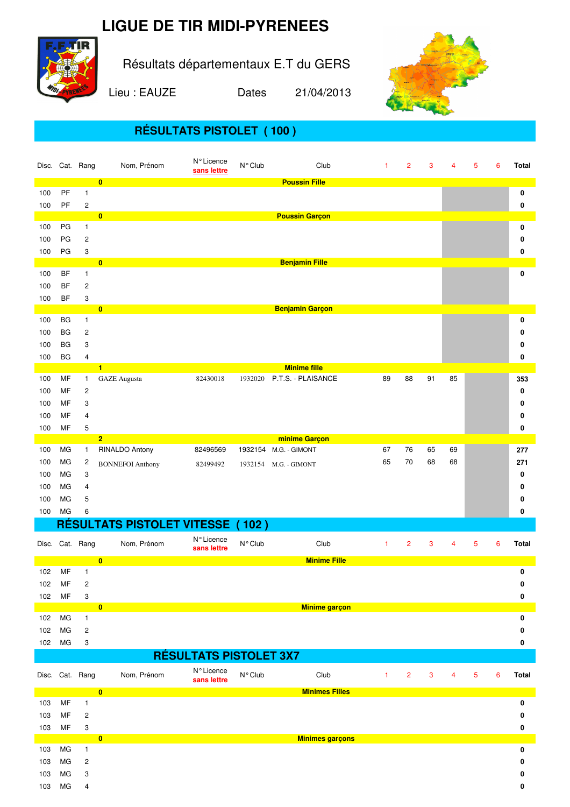## **LIGUE DE TIR MIDI-PYRENEES**



Résultats départementaux E.T du GERS

Lieu : EAUZE Dates 21/04/2013



## **RÉSULTATS PISTOLET ( 100 )**

|        |           | Disc. Cat. Rang         | Nom, Prénom                             | N° Licence<br>sans lettre     | N° Club          | Club                       | $\mathbf{1}$ | $\overline{c}$ | 3            | $\overline{4}$ | 5              | 6 | Total        |
|--------|-----------|-------------------------|-----------------------------------------|-------------------------------|------------------|----------------------------|--------------|----------------|--------------|----------------|----------------|---|--------------|
|        |           |                         | $\overline{\mathbf{0}}$                 |                               |                  | <b>Poussin Fille</b>       |              |                |              |                |                |   |              |
| 100    | PF        | 1                       |                                         |                               |                  |                            |              |                |              |                |                |   | 0            |
| 100    | PF        | $\overline{\mathbf{c}}$ |                                         |                               |                  |                            |              |                |              |                |                |   | 0            |
|        |           |                         | $\overline{\mathbf{0}}$                 |                               |                  | <b>Poussin Garçon</b>      |              |                |              |                |                |   |              |
| 100    | PG        | 1                       |                                         |                               |                  |                            |              |                |              |                |                |   | 0            |
| 100    | PG        | $\overline{c}$          |                                         |                               |                  |                            |              |                |              |                |                |   | 0            |
| 100    | PG        | 3                       |                                         |                               |                  |                            |              |                |              |                |                |   | 0            |
|        |           |                         | $\overline{\mathbf{0}}$                 |                               |                  | <b>Benjamin Fille</b>      |              |                |              |                |                |   |              |
| 100    | <b>BF</b> | 1                       |                                         |                               |                  |                            |              |                |              |                |                |   | 0            |
| 100    | BF        | 2                       |                                         |                               |                  |                            |              |                |              |                |                |   |              |
| 100    | <b>BF</b> | 3                       |                                         |                               |                  |                            |              |                |              |                |                |   |              |
| 100    | <b>BG</b> | 1                       | $\bullet$                               |                               |                  | <b>Benjamin Garçon</b>     |              |                |              |                |                |   | 0            |
|        | BG        |                         |                                         |                               |                  |                            |              |                |              |                |                |   |              |
| 100    |           | 2                       |                                         |                               |                  |                            |              |                |              |                |                |   | 0            |
| 100    | <b>BG</b> | 3                       |                                         |                               |                  |                            |              |                |              |                |                |   | 0            |
| 100    | <b>BG</b> | 4                       | $\blacksquare$                          |                               |                  | <b>Minime fille</b>        |              |                |              |                |                |   | 0            |
| 100    | MF        | 1.                      | <b>GAZE</b> Augusta                     | 82430018                      |                  | 1932020 P.T.S. - PLAISANCE | 89           | 88             | 91           | 85             |                |   | 353          |
| 100    | MF        | 2                       |                                         |                               |                  |                            |              |                |              |                |                |   | 0            |
| 100    | MF        | 3                       |                                         |                               |                  |                            |              |                |              |                |                |   | 0            |
| 100    | MF        | 4                       |                                         |                               |                  |                            |              |                |              |                |                |   |              |
|        |           |                         |                                         |                               |                  |                            |              |                |              |                |                |   | 0            |
| 100    | MF        | 5                       | $\overline{2}$                          |                               |                  | minime Garçon              |              |                |              |                |                |   | 0            |
| 100    | МG        | $\mathbf{1}$            | RINALDO Antony                          | 82496569                      |                  | 1932154 M.G. - GIMONT      | 67           | 76             | 65           | 69             |                |   | 277          |
| 100    | МG        | 2                       |                                         |                               |                  |                            | 65           | 70             | 68           | 68             |                |   | 271          |
| 100    | МG        | 3                       | <b>BONNEFOI Anthony</b>                 | 82499492                      |                  | 1932154 M.G. - GIMONT      |              |                |              |                |                |   | 0            |
|        |           |                         |                                         |                               |                  |                            |              |                |              |                |                |   |              |
|        |           |                         |                                         |                               |                  |                            |              |                |              |                |                |   |              |
| 100    | МG        | 4                       |                                         |                               |                  |                            |              |                |              |                |                |   | 0            |
| 100    | МG        | 5                       |                                         |                               |                  |                            |              |                |              |                |                |   | 0            |
| 100    | MG        | 6                       |                                         |                               |                  |                            |              |                |              |                |                |   | 0            |
|        |           |                         | <b>RÉSULTATS PISTOLET VITESSE (102)</b> |                               |                  |                            |              |                |              |                |                |   |              |
|        |           | Disc. Cat. Rang         | Nom, Prénom                             | N° Licence                    | N° Club          | Club                       | $\mathbf{1}$ | $\overline{2}$ | 3            | $\overline{4}$ | 5              | 6 | <b>Total</b> |
|        |           |                         |                                         | sans lettre                   |                  |                            |              |                |              |                |                |   |              |
|        |           |                         | $\overline{0}$                          |                               |                  | <b>Minime Fille</b>        |              |                |              |                |                |   |              |
| 102    | MF        | $\mathbf{1}$            |                                         |                               |                  |                            |              |                |              |                |                |   | 0            |
| 102 MF |           | $\overline{\mathbf{c}}$ |                                         |                               |                  |                            |              |                |              |                |                |   | o            |
| 102    | MF        | 3                       |                                         |                               |                  |                            |              |                |              |                |                |   | 0            |
|        |           |                         | $\bullet$                               |                               |                  | <b>Minime garçon</b>       |              |                |              |                |                |   |              |
| 102    | MG        | $\mathbf{1}$            |                                         |                               |                  |                            |              |                |              |                |                |   | 0            |
| 102    | MG        | $\overline{c}$          |                                         |                               |                  |                            |              |                |              |                |                |   | 0<br>0       |
| 102    | MG        | 3                       |                                         |                               |                  |                            |              |                |              |                |                |   |              |
|        |           |                         |                                         | <b>RÉSULTATS PISTOLET 3X7</b> |                  |                            |              |                |              |                |                |   |              |
|        |           | Disc. Cat. Rang         | Nom, Prénom                             | N° Licence                    | $N^{\circ}$ Club | Club                       | $\mathbf{1}$ | $\overline{2}$ | $\mathbf{3}$ | $\overline{4}$ | $\overline{5}$ | 6 | Total        |
|        |           |                         |                                         | sans lettre                   |                  |                            |              |                |              |                |                |   |              |
|        | MF        | 1                       | $\bullet$                               |                               |                  | <b>Minimes Filles</b>      |              |                |              |                |                |   | 0            |
| 103    | MF        |                         |                                         |                               |                  |                            |              |                |              |                |                |   | 0            |
| 103    |           | 2                       |                                         |                               |                  |                            |              |                |              |                |                |   |              |
| 103    | MF        | 3                       | $\bullet$                               |                               |                  | <b>Minimes garçons</b>     |              |                |              |                |                |   | 0            |
| 103    | MG        | $\mathbf{1}$            |                                         |                               |                  |                            |              |                |              |                |                |   | 0            |
| 103    | МG        | 2                       |                                         |                               |                  |                            |              |                |              |                |                |   | 0            |
| 103    | MG        | 3                       |                                         |                               |                  |                            |              |                |              |                |                |   | 0            |
| 103    | MG        | 4                       |                                         |                               |                  |                            |              |                |              |                |                |   | 0            |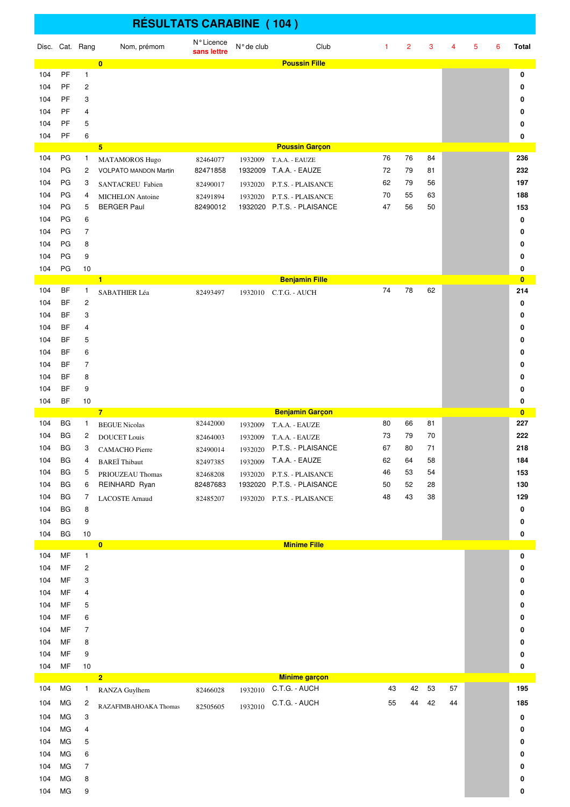|            | <b>RÉSULTATS CARABINE (104)</b> |                                |                                   |                           |            |                                                  |          |                |          |    |   |   |                     |
|------------|---------------------------------|--------------------------------|-----------------------------------|---------------------------|------------|--------------------------------------------------|----------|----------------|----------|----|---|---|---------------------|
|            |                                 | Disc. Cat. Rang                | Nom, prémom                       | N° Licence<br>sans lettre | N° de club | Club                                             | 1        | $\overline{2}$ | 3        | 4  | 5 | 6 | <b>Total</b>        |
| 104        | PF                              | $\mathbf{1}$                   | $\bf{0}$                          |                           |            | <b>Poussin Fille</b>                             |          |                |          |    |   |   | 0                   |
| 104        | PF                              | $\overline{c}$                 |                                   |                           |            |                                                  |          |                |          |    |   |   | 0                   |
| 104        | PF                              | 3                              |                                   |                           |            |                                                  |          |                |          |    |   |   | 0                   |
| 104        | <b>PF</b>                       | 4                              |                                   |                           |            |                                                  |          |                |          |    |   |   | 0                   |
| 104        | PF                              | 5                              |                                   |                           |            |                                                  |          |                |          |    |   |   | 0                   |
| 104        | PF                              | 6                              | 5                                 |                           |            | <b>Poussin Garcon</b>                            |          |                |          |    |   |   | 0                   |
| 104        | PG                              | $\mathbf{1}$                   | <b>MATAMOROS Hugo</b>             | 82464077                  | 1932009    | T.A.A. - EAUZE                                   | 76       | 76             | 84       |    |   |   | 236                 |
| 104        | PG                              | 2                              | <b>VOLPATO MANDON Martin</b>      | 82471858                  | 1932009    | T.A.A. - EAUZE                                   | 72       | 79             | 81       |    |   |   | 232                 |
| 104        | PG                              | 3                              | SANTACREU Fabien                  | 82490017                  | 1932020    | P.T.S. - PLAISANCE                               | 62       | 79             | 56       |    |   |   | 197                 |
| 104        | PG                              | 4                              | <b>MICHELON</b> Antoine           | 82491894                  | 1932020    | P.T.S. - PLAISANCE                               | 70       | 55             | 63       |    |   |   | 188                 |
| 104        | PG<br>PG                        | 5<br>6                         | <b>BERGER Paul</b>                | 82490012                  |            | 1932020 P.T.S. - PLAISANCE                       | 47       | 56             | 50       |    |   |   | 153                 |
| 104<br>104 | PG                              | $\overline{7}$                 |                                   |                           |            |                                                  |          |                |          |    |   |   | 0<br>0              |
| 104        | PG                              | 8                              |                                   |                           |            |                                                  |          |                |          |    |   |   | 0                   |
| 104        | PG                              | 9                              |                                   |                           |            |                                                  |          |                |          |    |   |   | 0                   |
| 104        | PG                              | 10                             |                                   |                           |            |                                                  |          |                |          |    |   |   | 0                   |
|            | BF                              |                                | $\blacksquare$                    |                           |            | <b>Benjamin Fille</b>                            | 74       | 78             | 62       |    |   |   | $\bf{0}$            |
| 104<br>104 | <b>BF</b>                       | $\mathbf{1}$<br>$\sqrt{2}$     | SABATHIER Léa                     | 82493497                  |            | 1932010 C.T.G. - AUCH                            |          |                |          |    |   |   | 214<br>0            |
| 104        | <b>BF</b>                       | 3                              |                                   |                           |            |                                                  |          |                |          |    |   |   | 0                   |
| 104        | <b>BF</b>                       | 4                              |                                   |                           |            |                                                  |          |                |          |    |   |   | 0                   |
| 104        | BF                              | 5                              |                                   |                           |            |                                                  |          |                |          |    |   |   | 0                   |
| 104        | BF                              | 6                              |                                   |                           |            |                                                  |          |                |          |    |   |   | 0                   |
| 104        | <b>BF</b>                       | $\overline{7}$                 |                                   |                           |            |                                                  |          |                |          |    |   |   | 0                   |
| 104        | BF                              | 8                              |                                   |                           |            |                                                  |          |                |          |    |   |   | 0                   |
| 104        | <b>BF</b><br>BF                 | 9                              |                                   |                           |            |                                                  |          |                |          |    |   |   | 0                   |
| 104        |                                 | 10                             | $\overline{7}$                    |                           |            | <b>Benjamin Garçon</b>                           |          |                |          |    |   |   | 0<br>$\overline{0}$ |
| 104        | <b>BG</b>                       | $\mathbf{1}$                   | <b>BEGUE Nicolas</b>              | 82442000                  | 1932009    | T.A.A. - EAUZE                                   | 80       | 66             | 81       |    |   |   | 227                 |
| 104        | BG                              | 2                              | <b>DOUCET</b> Louis               | 82464003                  | 1932009    | T.A.A. - EAUZE                                   | 73       | 79             | 70       |    |   |   | 222                 |
| 104        | BG                              | 3                              | CAMACHO Pierre                    | 82490014                  | 1932020    | P.T.S. - PLAISANCE                               | 67       | 80             | 71       |    |   |   | 218                 |
| 104        | BG                              | 4                              | <b>BARE</b> Thibaut               | 82497385                  | 1932009    | T.A.A. - EAUZE                                   | 62       | 64             | 58       |    |   |   | 184                 |
| 104<br>104 | BG<br>BG                        | 5<br>6                         | PRIOUZEAU Thomas<br>REINHARD Ryan | 82468208<br>82487683      | 1932020    | P.T.S. - PLAISANCE<br>1932020 P.T.S. - PLAISANCE | 46<br>50 | 53<br>52       | 54<br>28 |    |   |   | 153<br>130          |
| 104        | BG                              | 7                              | LACOSTE Arnaud                    | 82485207                  |            | 1932020 P.T.S. - PLAISANCE                       | 48       | 43             | 38       |    |   |   | 129                 |
| 104        | BG                              | 8                              |                                   |                           |            |                                                  |          |                |          |    |   |   | 0                   |
| 104        | BG                              | 9                              |                                   |                           |            |                                                  |          |                |          |    |   |   | 0                   |
| 104        | <b>BG</b>                       | $10$                           |                                   |                           |            |                                                  |          |                |          |    |   |   | 0                   |
|            |                                 |                                | $\bullet$                         |                           |            | <b>Minime Fille</b>                              |          |                |          |    |   |   |                     |
| 104<br>104 | <b>MF</b><br>MF                 | $\mathbf{1}$<br>$\overline{c}$ |                                   |                           |            |                                                  |          |                |          |    |   |   | 0<br>0              |
| 104        | <b>MF</b>                       | 3                              |                                   |                           |            |                                                  |          |                |          |    |   |   | 0                   |
| 104        | MF                              | 4                              |                                   |                           |            |                                                  |          |                |          |    |   |   | 0                   |
| 104        | MF                              | 5                              |                                   |                           |            |                                                  |          |                |          |    |   |   | 0                   |
| 104        | MF                              | 6                              |                                   |                           |            |                                                  |          |                |          |    |   |   | 0                   |
| 104        | MF                              | $\overline{7}$                 |                                   |                           |            |                                                  |          |                |          |    |   |   | 0                   |
| 104        | MF                              | 8                              |                                   |                           |            |                                                  |          |                |          |    |   |   | 0                   |
| 104<br>104 | MF<br>MF                        | 9<br>$10$                      |                                   |                           |            |                                                  |          |                |          |    |   |   | 0<br>0              |
|            |                                 |                                | $\overline{2}$                    |                           |            | <b>Minime garçon</b>                             |          |                |          |    |   |   |                     |
| 104        | MG                              | $\mathbf{1}$                   | RANZA Guylhem                     | 82466028                  | 1932010    | C.T.G. - AUCH                                    | 43       | 42             | 53       | 57 |   |   | 195                 |
| 104        | MG                              | 2                              | RAZAFIMBAHOAKA Thomas             | 82505605                  | 1932010    | C.T.G. - AUCH                                    | 55       | 44             | 42       | 44 |   |   | 185                 |
| 104        | MG                              | 3                              |                                   |                           |            |                                                  |          |                |          |    |   |   | 0                   |
| 104        | MG                              | 4                              |                                   |                           |            |                                                  |          |                |          |    |   |   | 0                   |
| 104        | MG                              | 5                              |                                   |                           |            |                                                  |          |                |          |    |   |   | 0                   |
| 104        | MG                              | 6                              |                                   |                           |            |                                                  |          |                |          |    |   |   | 0                   |
| 104<br>104 | MG<br>MG                        | $\overline{7}$<br>8            |                                   |                           |            |                                                  |          |                |          |    |   |   | 0                   |
| 104        | MG                              | 9                              |                                   |                           |            |                                                  |          |                |          |    |   |   | 0<br>0              |
|            |                                 |                                |                                   |                           |            |                                                  |          |                |          |    |   |   |                     |